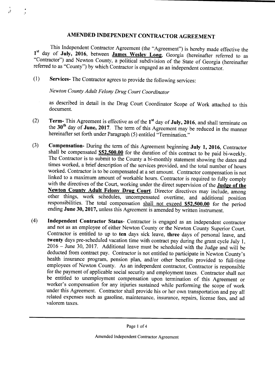## AMENDED INDEPENDENT CONTRACTOR AGREEMENT

This Independent Contractor Agreement (the "Agreement") is hereby made effective the 1<sup>st</sup> day of **July, 2016**, between **James Wesley Long**, Georgia (hereinafter referred to as "Contractor") and Newton County, a political subdivision of the State of Georgia (hereinafter referred to as "County") by which Contractor is engaged as an independent contractor.

1) Services- The Contractor agrees to provide the following services:

Newton County Adult Felony Drug Court Coordinator

 $\frac{1}{2}$ 

 $\mathbf{A}$ 

as described in detail in the Drug Court Coordinator Scope of Work attached to this document.

- 2) Term- This Agreement is effective as of the  $1<sup>st</sup>$  day of July, 2016, and shall terminate on the  $30<sup>th</sup>$  day of **June, 2017**. The term of this Agreement may be reduced in the manner hereinafter set forth under Paragraph (5) entitled "Termination."
- 3) Compensation- During the term of this Agreement beginning July 1, 2016, Contractor shall be compensated  $\frac{$52,500.00}{0}$  for the duration of this contract to be paid bi-weekly. The Contractor is to submit to the County a bi-monthly statement showing the dates and times worked, a brief description of the services provided, and the total number of hours worked. Contractor is to be compensated at a set amount. Contractor compensation is not linked to <sup>a</sup> maximum amount of workable hours. Contractor is required to fully comply with the directives of the Court, working under the direct supervision of the Judge of the Newton County Adult Felony Drug Court. Director directives may include, among other things, work schedules, uncompensated overtime, and additional position responsibilities. The total compensation shall not exceed \$52,500.00 for the period ending June 30, 2017, unless this Agreement is amended by written instrument.
- 4) Independent Contractor Status- Contractor is engaged as an independent contractor and not as an employee of either Newton County or the Newton County Superior Court. Contractor is entitled to up to ten days sick leave, three days of personal leave, and twenty days pre-scheduled vacation time with contract pay during the grant cycle July 1, 2016 — June 30, 2017. Additional leave must be scheduled with the Judge and will be deducted from contract pay. Contractor is not entitled to participate in Newton County's health insurance program, pension plan, and/or other benefits provided to full-time employees of Newton County. As an independent contractor, Contractor is responsible for the payment of applicable social security and employment taxes. Contractor shall not be entitled to unemployment compensation upon termination of this Agreement or worker's compensation for any injuries sustained while performing the scope of work under this Agreement. Contractor shall provide his or her own transportation and pay all related expenses such as gasoline, maintenance, insurance, repairs, license fees, and ad valorem taxes.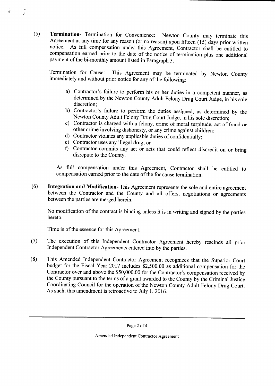5) Termination- Termination for Convenience: Newton County may terminate this Agreement at any time for any reason (or no reason) upon fifteen  $(15)$  days prior written notice. As full compensation under this Agreement, Contractor shall be entitled to compensation earned prior to the date of the notice of termination plus one additional payment of the bi-monthly amount listed in Paragraph 3.

Termination for Cause: This Agreement may be terminated by Newton County immediately and without prior notice for any of the following:

- a) Contractor's failure to perform his or her duties in a competent manner, as determined by the Newton County Adult Felony Drug Court Judge, in his sole discretion;
- b) Contractor's failure to perform the duties assigned, as determined by the Newton County Adult Felony Drug Court Judge, in his sole discretion;
- c) Contractor is charged with <sup>a</sup> felony, crime of moral turpitude, act of fraud or other crime involving dishonesty, or any crime against children;
- d) Contractor violates any applicable duties of confidentially;
- e) Contractor uses any illegal drug; or

 $\tau \hat{\pmb{J}}$ 

 $\mathbf{A}$ 

f) Contractor commits any act or acts that could reflect discredit on or bring disrepute to the County.

As full compensation under this Agreement, Contractor shall be entitled to compensation earned prior to the date of the for cause termination.

6) Integration and Modification- This Agreement represents the sole and entire agreement between the Contractor and the County and all offers, negotiations or agreements between the parties are merged herein.

No modification of the contract is binding unless it is in writing and signed by the parties hereto.

Time is of the essence for this Agreement.

- 7) The execution of this Independent Contractor Agreement hereby rescinds all prior Independent Contractor Agreements entered into by the parties.
- 8) This Amended Independent Contractor Agreement recognizes that the Superior Court budget for the Fiscal Year 2017 includes \$2,500.00 as additional compensation for the Contractor over and above the \$50,000.00 for the Contractor's compensation received by the County pursuant to the terms of <sup>a</sup> grant awarded to the County by the Criminal Justice Coordinating Council for the operation of the Newton County Adult Felony Drug Court. As such, this amendment is retroactive to July 1, 2016.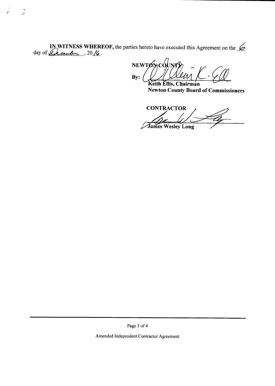IN WITNESS WHEREOF, the parties hereto have executed this Agreement on the  $\leq$  day of  $\leq$  cand  $\leq$  . 20 $\leq$ .

 $\ddot{\cdot}$ 

 $\hat{\mathbf{r}}^{\hat{\mathbf{r}}}$ 

NEWTONCOUNTY  $By:$ 

Keith Ellis, Chairman **Newton County Board of Commissioners** 

**CONTRACTOR James Wesley Long** 

Page 3 of 4

Amended Independent Contractor Agreement